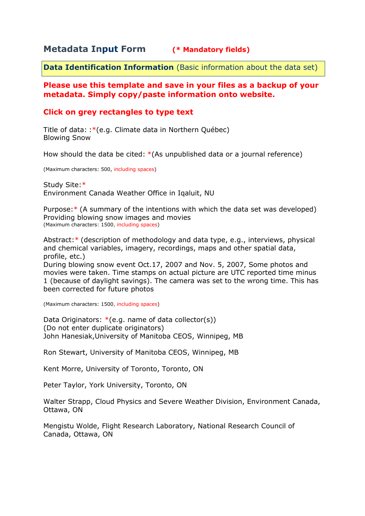## **Metadata Input Form (\* Mandatory fields)**

**Data Identification Information** (Basic information about the data set)

## **Please use this template and save in your files as a backup of your metadata. Simply copy/paste information onto website.**

## **Click on grey rectangles to type text**

Title of data: :\*(e.g. Climate data in Northern Québec) Blowing Snow

How should the data be cited: \*(As unpublished data or a journal reference)

(Maximum characters: 500, including spaces)

Study Site:\* Environment Canada Weather Office in Iqaluit, NU

Purpose:\* (A summary of the intentions with which the data set was developed) Providing blowing snow images and movies (Maximum characters: 1500, including spaces)

Abstract:\* (description of methodology and data type, e.g., interviews, physical and chemical variables, imagery, recordings, maps and other spatial data, profile, etc.)

During blowing snow event Oct.17, 2007 and Nov. 5, 2007, Some photos and movies were taken. Time stamps on actual picture are UTC reported time minus 1 (because of daylight savings). The camera was set to the wrong time. This has been corrected for future photos

(Maximum characters: 1500, including spaces)

Data Originators:  $*(e.q.$  name of data collector(s)) (Do not enter duplicate originators) John Hanesiak,University of Manitoba CEOS, Winnipeg, MB

Ron Stewart, University of Manitoba CEOS, Winnipeg, MB

Kent Morre, University of Toronto, Toronto, ON

Peter Taylor, York University, Toronto, ON

Walter Strapp, Cloud Physics and Severe Weather Division, Environment Canada, Ottawa, ON

Mengistu Wolde, Flight Research Laboratory, National Research Council of Canada, Ottawa, ON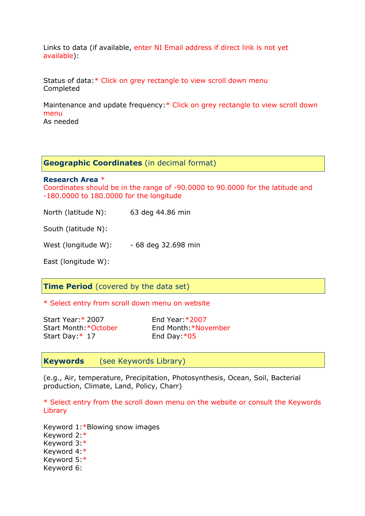Links to data (if available, enter NI Email address if direct link is not yet available):

Status of data:\* Click on grey rectangle to view scroll down menu Completed

Maintenance and update frequency:\* Click on grey rectangle to view scroll down menu

As needed

**Geographic Coordinates** (in decimal format)

**Research Area** \*

Coordinates should be in the range of -90.0000 to 90.0000 for the latitude and -180.0000 to 180.0000 for the longitude

North (latitude N): 63 deg 44.86 min

South (latitude N):

West (longitude W): - 68 deg 32.698 min

East (longitude W):

**Time Period** (covered by the data set)

\* Select entry from scroll down menu on website

Start Year:\* 2007 End Year:\*2007 Start Day: \* 17 End Day: \* 05

Start Month:\*October End Month:\*November

**Keywords** (see Keywords Library)

(e.g., Air, temperature, Precipitation, Photosynthesis, Ocean, Soil, Bacterial production, Climate, Land, Policy, Charr)

\* Select entry from the scroll down menu on the website or consult the Keywords Library

Keyword 1:\*Blowing snow images Keyword 2:\* Keyword 3:\* Keyword 4:\* Keyword 5:\* Keyword 6: